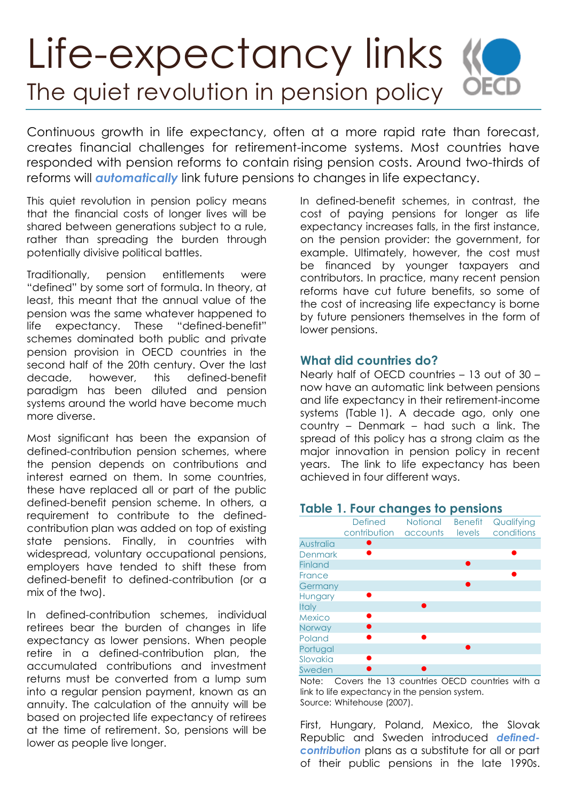# Life-expectancy links KO **OECD** The quiet revolution in pension policy

Continuous growth in life expectancy, often at a more rapid rate than forecast, creates financial challenges for retirement-income systems. Most countries have responded with pension reforms to contain rising pension costs. Around two-thirds of reforms will *automatically* link future pensions to changes in life expectancy.

This quiet revolution in pension policy means that the financial costs of longer lives will be shared between generations subject to a rule, rather than spreading the burden through potentially divisive political battles.

Traditionally, pension entitlements were "defined" by some sort of formula. In theory, at least, this meant that the annual value of the pension was the same whatever happened to life expectancy. These "defined-benefit" schemes dominated both public and private pension provision in OECD countries in the second half of the 20th century. Over the last decade, however, this defined-benefit paradigm has been diluted and pension systems around the world have become much more diverse.

Most significant has been the expansion of defined-contribution pension schemes, where the pension depends on contributions and interest earned on them. In some countries, these have replaced all or part of the public defined-benefit pension scheme. In others, a requirement to contribute to the definedcontribution plan was added on top of existing state pensions. Finally, in countries with widespread, voluntary occupational pensions, employers have tended to shift these from defined-benefit to defined-contribution (or a mix of the two).

In defined-contribution schemes, individual retirees bear the burden of changes in life expectancy as lower pensions. When people retire in a defined-contribution plan, the accumulated contributions and investment returns must be converted from a lump sum into a regular pension payment, known as an annuity. The calculation of the annuity will be based on projected life expectancy of retirees at the time of retirement. So, pensions will be lower as people live longer.

In defined-benefit schemes, in contrast, the cost of paying pensions for longer as life expectancy increases falls, in the first instance, on the pension provider: the government, for example. Ultimately, however, the cost must be financed by younger taxpayers and contributors. In practice, many recent pension reforms have cut future benefits, so some of the cost of increasing life expectancy is borne by future pensioners themselves in the form of lower pensions.

#### **What did countries do?**

Nearly half of OECD countries – 13 out of 30 – now have an automatic link between pensions and life expectancy in their retirement-income systems (Table 1). A decade ago, only one country – Denmark – had such a link. The spread of this policy has a strong claim as the major innovation in pension policy in recent years. The link to life expectancy has been achieved in four different ways.

#### **Table 1. Four changes to pensions**



Note: Covers the 13 countries OECD countries with a link to life expectancy in the pension system. Source: Whitehouse (2007).

First, Hungary, Poland, Mexico, the Slovak Republic and Sweden introduced *definedcontribution* plans as a substitute for all or part of their public pensions in the late 1990s.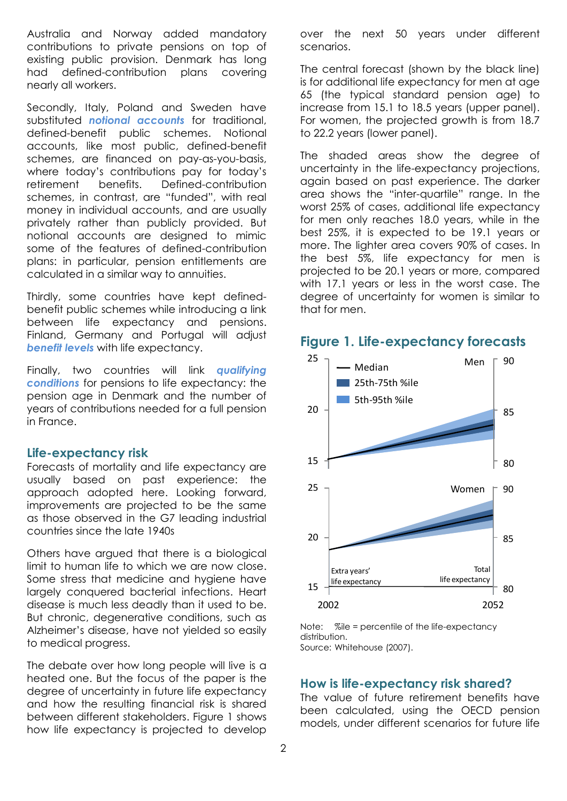Australia and Norway added mandatory contributions to private pensions on top of existing public provision. Denmark has long had defined-contribution plans covering nearly all workers.

Secondly, Italy, Poland and Sweden have substituted *notional accounts* for traditional, defined-benefit public schemes. Notional accounts, like most public, defined-benefit schemes, are financed on pay-as-you-basis, where today's contributions pay for today's retirement benefits. Defined-contribution schemes, in contrast, are "funded", with real money in individual accounts, and are usually privately rather than publicly provided. But notional accounts are designed to mimic some of the features of defined-contribution plans: in particular, pension entitlements are calculated in a similar way to annuities.

Thirdly, some countries have kept definedbenefit public schemes while introducing a link between life expectancy and pensions. Finland, Germany and Portugal will adjust *benefit levels* with life expectancy.

Finally, two countries will link *qualifying conditions* for pensions to life expectancy: the pension age in Denmark and the number of years of contributions needed for a full pension in France.

#### **Life-expectancy risk**

Forecasts of mortality and life expectancy are usually based on past experience: the approach adopted here. Looking forward, 25 improvements are projected to be the same as those observed in the G7 leading industrial countries since the late 1940s 20 e. Loc  $940s$ 

Others have argued that there is a biological limit to human life to which we are now close. Some stress that medicine and hygiene have largely conquered bacterial infections. Heart disease is much less deadly than it used to be. But chronic, degenerative conditions, such as Alzheimer's disease, have not yielded so easily to medical progress. 10

The debate over how long people will live is a heated one. But the focus of the paper is the degree of uncertainty in future life expectancy and how the resulting financial risk is shared between different stakeholders. Figure 1 shows how life expectancy is projected to develop

over the next 50 years under different scenarios.

The central forecast (shown by the black line) is for additional life expectancy for men at age 65 (the typical standard pension age) to increase from 15.1 to 18.5 years (upper panel). For women, the projected growth is from 18.7 to 22.2 years (lower panel).

The shaded areas show the degree of uncertainty in the life-expectancy projections, again based on past experience. The darker area shows the "inter-quartile" range. In the worst 25% of cases, additional life expectancy for men only reaches 18.0 years, while in the best 25%, it is expected to be 19.1 years or more. The lighter area covers 90% of cases. In the best 5%, life expectancy for men is projected to be 20.1 years or more, compared with 17.1 years or less in the worst case. The degree of uncertainty for women is similar to that for men.



#### **Figure 1. Life-expectancy forecasts**

Note:  $\%$ ile = percentile of the life-expectancy distribution. Source: Whitehouse (2007).

## 70 **How is life-expectancy risk shared?**

The value of future retirement benefits have been calculated, using the OECD pension models, under different scenarios for future life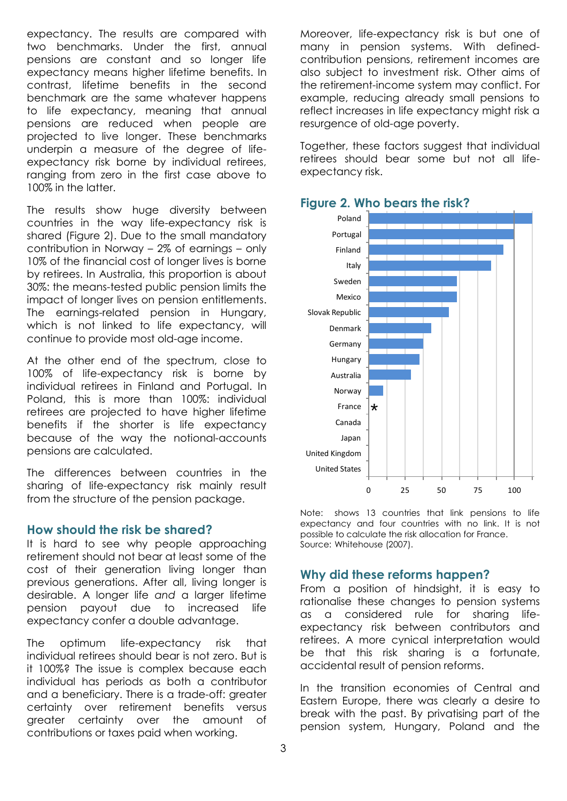expectancy. The results are compared with two benchmarks. Under the first, annual pensions are constant and so longer life expectancy means higher lifetime benefits. In contrast, lifetime benefits in the second benchmark are the same whatever happens to life expectancy, meaning that annual pensions are reduced when people are projected to live longer. These benchmarks underpin a measure of the degree of lifeexpectancy risk borne by individual retirees, ranging from zero in the first case above to 100% in the latter.

The results show huge diversity between countries in the way life-expectancy risk is shared (Figure 2). Due to the small mandatory contribution in Norway – 2% of earnings – only 10% of the financial cost of longer lives is borne by retirees. In Australia, this proportion is about 30%: the means-tested public pension limits the impact of longer lives on pension entitlements. The earnings-related pension in Hungary, which is not linked to life expectancy, will continue to provide most old-age income.

At the other end of the spectrum, close to 100% of life-expectancy risk is borne by individual retirees in Finland and Portugal. In Poland, this is more than 100%: individual retirees are projected to have higher lifetime benefits if the shorter is life expectancy because of the way the notional-accounts pensions are calculated.

The differences between countries in the sharing of life-expectancy risk mainly result from the structure of the pension package.

#### **How should the risk be shared?**

It is hard to see why people approaching retirement should not bear at least some of the cost of their generation living longer than previous generations. After all, living longer is desirable. A longer life *and* a larger lifetime pension payout due to increased life expectancy confer a double advantage.

The optimum life-expectancy risk that individual retirees should bear is not zero. But is it 100%? The issue is complex because each individual has periods as both a contributor and a beneficiary. There is a trade-off: greater certainty over retirement benefits versus greater certainty over the amount of contributions or taxes paid when working.

Moreover, life-expectancy risk is but one of many in pension systems. With definedcontribution pensions, retirement incomes are also subject to investment risk. Other aims of the retirement-income system may conflict. For example, reducing already small pensions to reflect increases in life expectancy might risk a resurgence of old-age poverty.

Together, these factors suggest that individual retirees should bear some but not all lifeexpectancy risk.



### **Figure 2. Who bears the risk?**

Note: shows 13 countries that link pensions to life expectancy and four countries with no link. It is not possible to calculate the risk allocation for France. Source: Whitehouse (2007).

#### **Why did these reforms happen?**

From a position of hindsight, it is easy to rationalise these changes to pension systems as a considered rule for sharing lifeexpectancy risk between contributors and retirees. A more cynical interpretation would be that this risk sharing is a fortunate, accidental result of pension reforms.

In the transition economies of Central and Eastern Europe, there was clearly a desire to break with the past. By privatising part of the pension system, Hungary, Poland and the